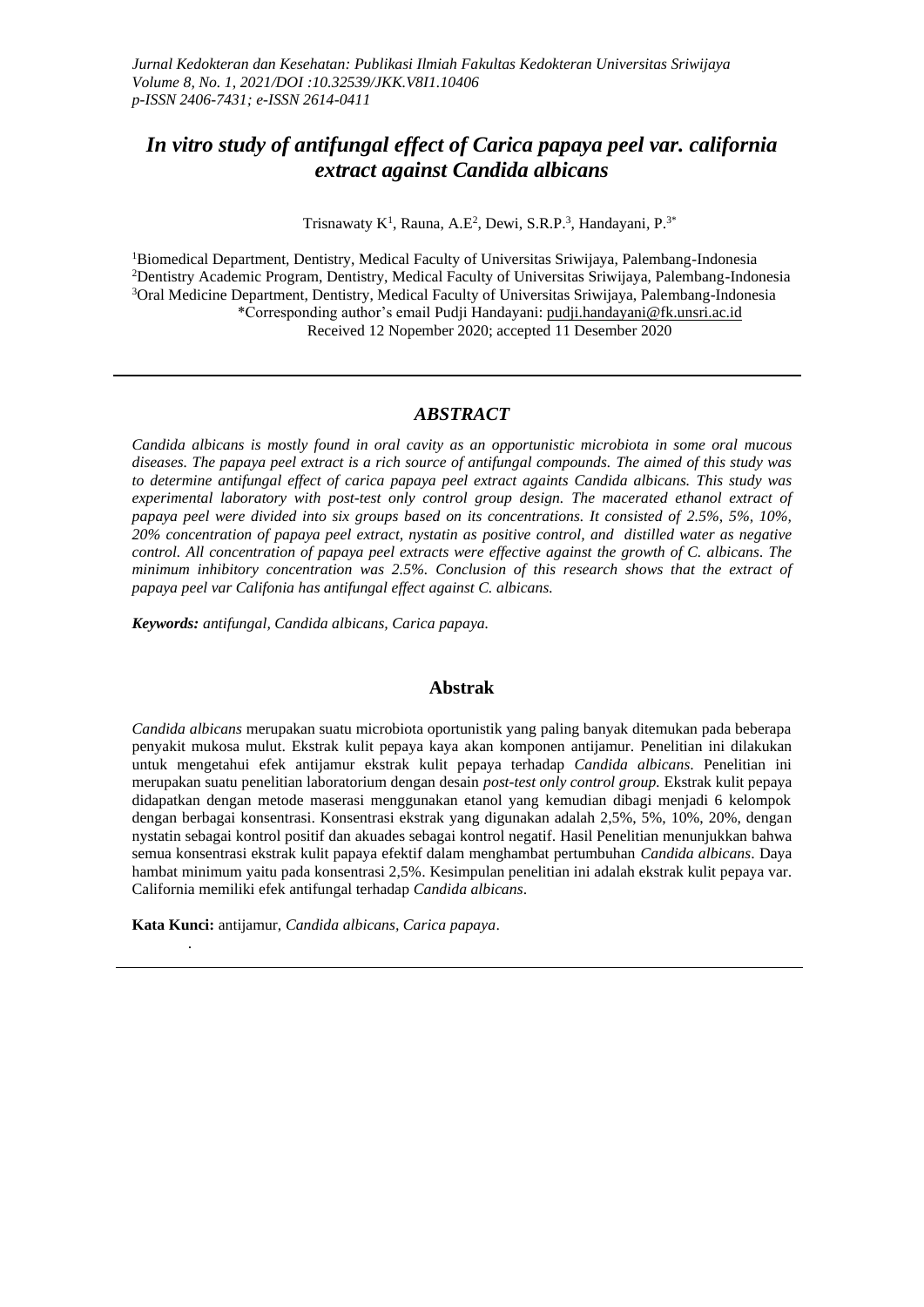# *In vitro study of antifungal effect of Carica papaya peel var. california extract against Candida albicans*

Trisnawaty K<sup>1</sup>, Rauna, A.E<sup>2</sup>, Dewi, S.R.P.<sup>3</sup>, Handayani, P.<sup>3\*</sup>

<sup>1</sup>Biomedical Department, Dentistry, Medical Faculty of Universitas Sriwijaya, Palembang-Indonesia <sup>2</sup>Dentistry Academic Program, Dentistry, Medical Faculty of Universitas Sriwijaya, Palembang-Indonesia <sup>3</sup>Oral Medicine Department, Dentistry, Medical Faculty of Universitas Sriwijaya, Palembang-Indonesia \*Corresponding author's email Pudji Handayani: [pudji.handayani@fk.unsri.ac.id](mailto:pudji.handayani@fk.unsri.ac.id) Received 12 Nopember 2020; accepted 11 Desember 2020

#### *ABSTRACT*

*Candida albicans is mostly found in oral cavity as an opportunistic microbiota in some oral mucous diseases. The papaya peel extract is a rich source of antifungal compounds. The aimed of this study was to determine antifungal effect of carica papaya peel extract againts Candida albicans. This study was experimental laboratory with post-test only control group design. The macerated ethanol extract of papaya peel were divided into six groups based on its concentrations. It consisted of 2.5%, 5%, 10%, 20% concentration of papaya peel extract, nystatin as positive control, and distilled water as negative control. All concentration of papaya peel extracts were effective against the growth of C. albicans. The minimum inhibitory concentration was 2.5%. Conclusion of this research shows that the extract of papaya peel var Califonia has antifungal effect against C. albicans.* 

*Keywords: antifungal, Candida albicans, Carica papaya.*

#### **Abstrak**

*Candida albicans* merupakan suatu microbiota oportunistik yang paling banyak ditemukan pada beberapa penyakit mukosa mulut. Ekstrak kulit pepaya kaya akan komponen antijamur. Penelitian ini dilakukan untuk mengetahui efek antijamur ekstrak kulit pepaya terhadap *Candida albicans*. Penelitian ini merupakan suatu penelitian laboratorium dengan desain *post-test only control group.* Ekstrak kulit pepaya didapatkan dengan metode maserasi menggunakan etanol yang kemudian dibagi menjadi 6 kelompok dengan berbagai konsentrasi. Konsentrasi ekstrak yang digunakan adalah 2,5%, 5%, 10%, 20%, dengan nystatin sebagai kontrol positif dan akuades sebagai kontrol negatif. Hasil Penelitian menunjukkan bahwa semua konsentrasi ekstrak kulit papaya efektif dalam menghambat pertumbuhan *Candida albicans*. Daya hambat minimum yaitu pada konsentrasi 2,5%. Kesimpulan penelitian ini adalah ekstrak kulit pepaya var. California memiliki efek antifungal terhadap *Candida albicans*.

**Kata Kunci:** antijamur, *Candida albicans, Carica papaya*.

.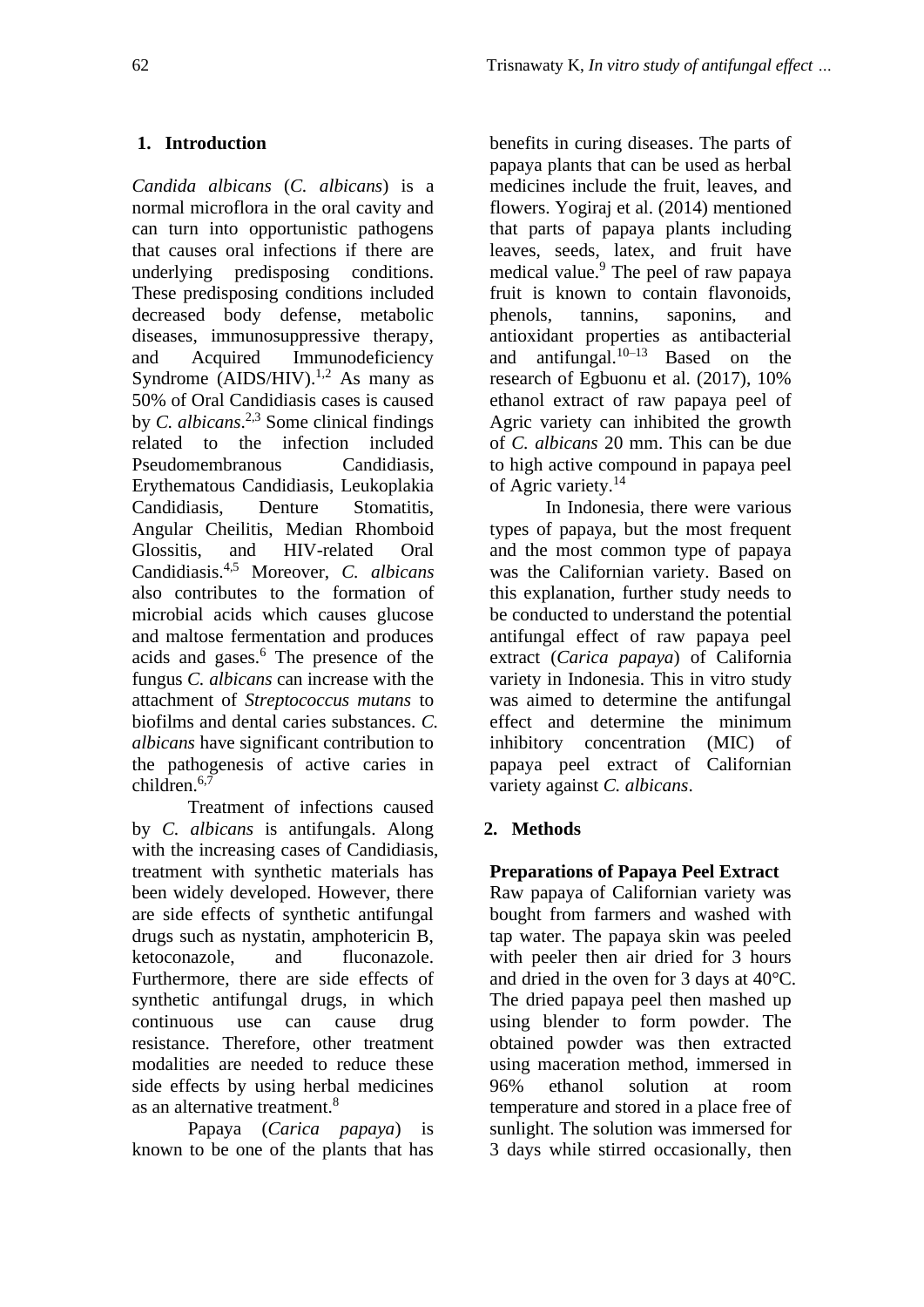# **1. Introduction**

*Candida albicans* (*C. albicans*) is a normal microflora in the oral cavity and can turn into opportunistic pathogens that causes oral infections if there are underlying predisposing conditions. These predisposing conditions included decreased body defense, metabolic diseases, immunosuppressive therapy, and Acquired Immunodeficiency Syndrome (AIDS/HIV).<sup>1,2</sup> As many as 50% of Oral Candidiasis cases is caused by *C. albicans*. 2,3 Some clinical findings related to the infection included Pseudomembranous Candidiasis, Erythematous Candidiasis, Leukoplakia Candidiasis, Denture Stomatitis, Angular Cheilitis, Median Rhomboid Glossitis, and HIV-related Oral Candidiasis.4,5 Moreover, *C. albicans* also contributes to the formation of microbial acids which causes glucose and maltose fermentation and produces acids and gases.<sup>6</sup> The presence of the fungus *C. albicans* can increase with the attachment of *Streptococcus mutans* to biofilms and dental caries substances. *C. albicans* have significant contribution to the pathogenesis of active caries in children. $6,7$ 

Treatment of infections caused by *C. albicans* is antifungals. Along with the increasing cases of Candidiasis, treatment with synthetic materials has been widely developed. However, there are side effects of synthetic antifungal drugs such as nystatin, amphotericin B, ketoconazole, and fluconazole. Furthermore, there are side effects of synthetic antifungal drugs, in which continuous use can cause drug resistance. Therefore, other treatment modalities are needed to reduce these side effects by using herbal medicines as an alternative treatment.<sup>8</sup>

Papaya (*Carica papaya*) is known to be one of the plants that has benefits in curing diseases. The parts of papaya plants that can be used as herbal medicines include the fruit, leaves, and flowers. Yogiraj et al. (2014) mentioned that parts of papaya plants including leaves, seeds, latex, and fruit have medical value.<sup>9</sup> The peel of raw papaya fruit is known to contain flavonoids, phenols, tannins, saponins, and antioxidant properties as antibacterial and antifungal. $10-13$  Based on the research of Egbuonu et al. (2017), 10% ethanol extract of raw papaya peel of Agric variety can inhibited the growth of *C. albicans* 20 mm. This can be due to high active compound in papaya peel of Agric variety.<sup>14</sup>

In Indonesia, there were various types of papaya, but the most frequent and the most common type of papaya was the Californian variety. Based on this explanation, further study needs to be conducted to understand the potential antifungal effect of raw papaya peel extract (*Carica papaya*) of California variety in Indonesia. This in vitro study was aimed to determine the antifungal effect and determine the minimum inhibitory concentration (MIC) of papaya peel extract of Californian variety against *C. albicans*.

# **2. Methods**

# **Preparations of Papaya Peel Extract**

Raw papaya of Californian variety was bought from farmers and washed with tap water. The papaya skin was peeled with peeler then air dried for 3 hours and dried in the oven for 3 days at 40°C. The dried papaya peel then mashed up using blender to form powder. The obtained powder was then extracted using maceration method, immersed in 96% ethanol solution at room temperature and stored in a place free of sunlight. The solution was immersed for 3 days while stirred occasionally, then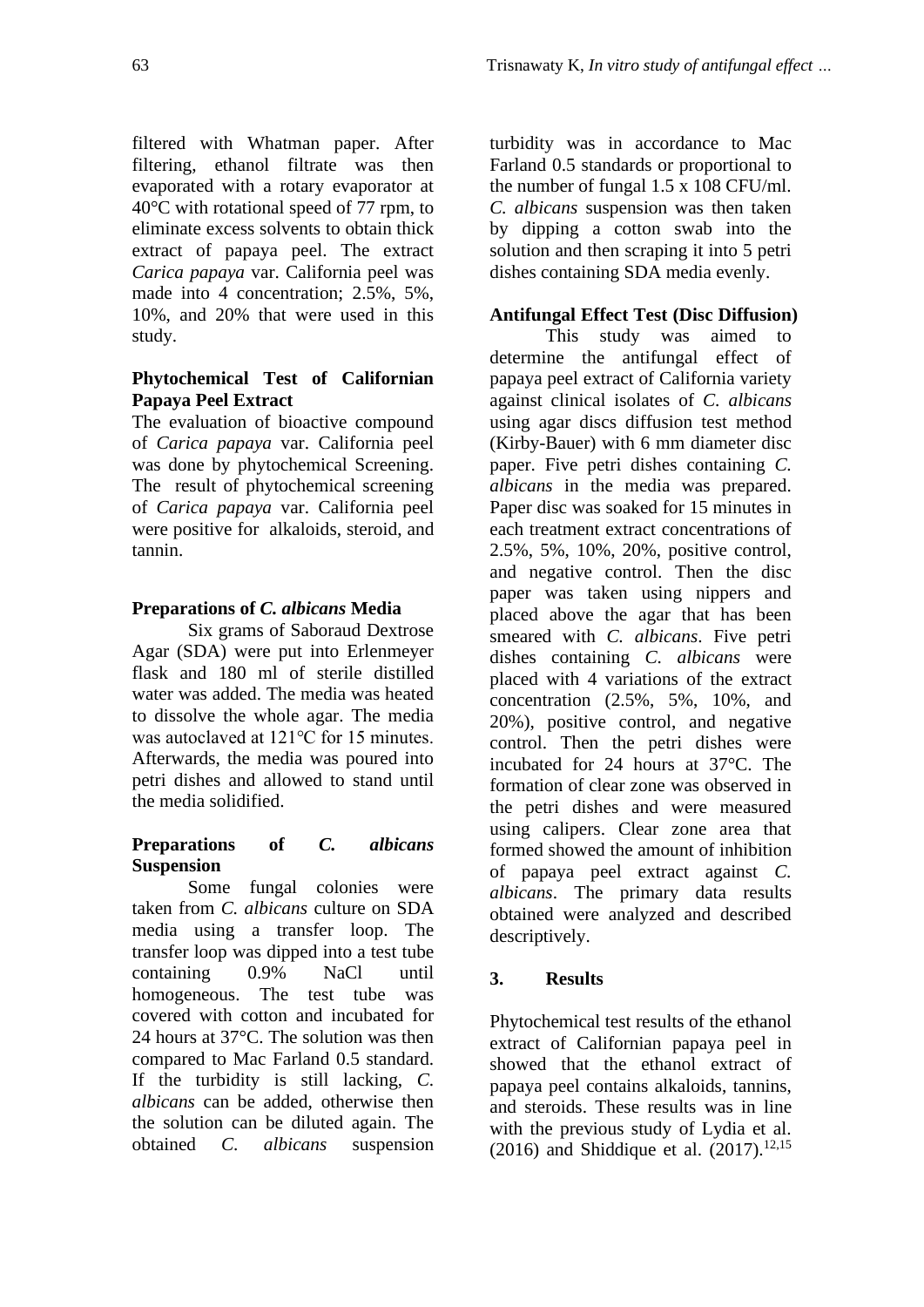filtered with Whatman paper. After filtering, ethanol filtrate was then evaporated with a rotary evaporator at 40°C with rotational speed of 77 rpm, to eliminate excess solvents to obtain thick extract of papaya peel. The extract *Carica papaya* var. California peel was made into 4 concentration; 2.5%, 5%, 10%, and 20% that were used in this study.

## **Phytochemical Test of Californian Papaya Peel Extract**

The evaluation of bioactive compound of *Carica papaya* var. California peel was done by phytochemical Screening. The result of phytochemical screening of *Carica papaya* var. California peel were positive for alkaloids, steroid, and tannin.

# **Preparations of** *C. albicans* **Media**

Six grams of Saboraud Dextrose Agar (SDA) were put into Erlenmeyer flask and 180 ml of sterile distilled water was added. The media was heated to dissolve the whole agar. The media was autoclaved at 121℃ for 15 minutes. Afterwards, the media was poured into petri dishes and allowed to stand until the media solidified.

### **Preparations of** *C. albicans* **Suspension**

Some fungal colonies were taken from *C. albicans* culture on SDA media using a transfer loop. The transfer loop was dipped into a test tube containing 0.9% NaCl until homogeneous. The test tube was covered with cotton and incubated for 24 hours at 37°C. The solution was then compared to Mac Farland 0.5 standard. If the turbidity is still lacking, *C. albicans* can be added, otherwise then the solution can be diluted again. The obtained *C. albicans* suspension turbidity was in accordance to Mac Farland 0.5 standards or proportional to the number of fungal 1.5 x 108 CFU/ml. *C. albicans* suspension was then taken by dipping a cotton swab into the solution and then scraping it into 5 petri dishes containing SDA media evenly.

# **Antifungal Effect Test (Disc Diffusion)**

This study was aimed to determine the antifungal effect of papaya peel extract of California variety against clinical isolates of *C. albicans* using agar discs diffusion test method (Kirby-Bauer) with 6 mm diameter disc paper. Five petri dishes containing *C. albicans* in the media was prepared. Paper disc was soaked for 15 minutes in each treatment extract concentrations of 2.5%, 5%, 10%, 20%, positive control, and negative control. Then the disc paper was taken using nippers and placed above the agar that has been smeared with *C. albicans*. Five petri dishes containing *C. albicans* were placed with 4 variations of the extract concentration (2.5%, 5%, 10%, and 20%), positive control, and negative control. Then the petri dishes were incubated for 24 hours at 37°C. The formation of clear zone was observed in the petri dishes and were measured using calipers. Clear zone area that formed showed the amount of inhibition of papaya peel extract against *C. albicans*. The primary data results obtained were analyzed and described descriptively.

# **3. Results**

Phytochemical test results of the ethanol extract of Californian papaya peel in showed that the ethanol extract of papaya peel contains alkaloids, tannins, and steroids. These results was in line with the previous study of Lydia et al. (2016) and Shiddique et al.  $(2017)$ , <sup>12,15</sup>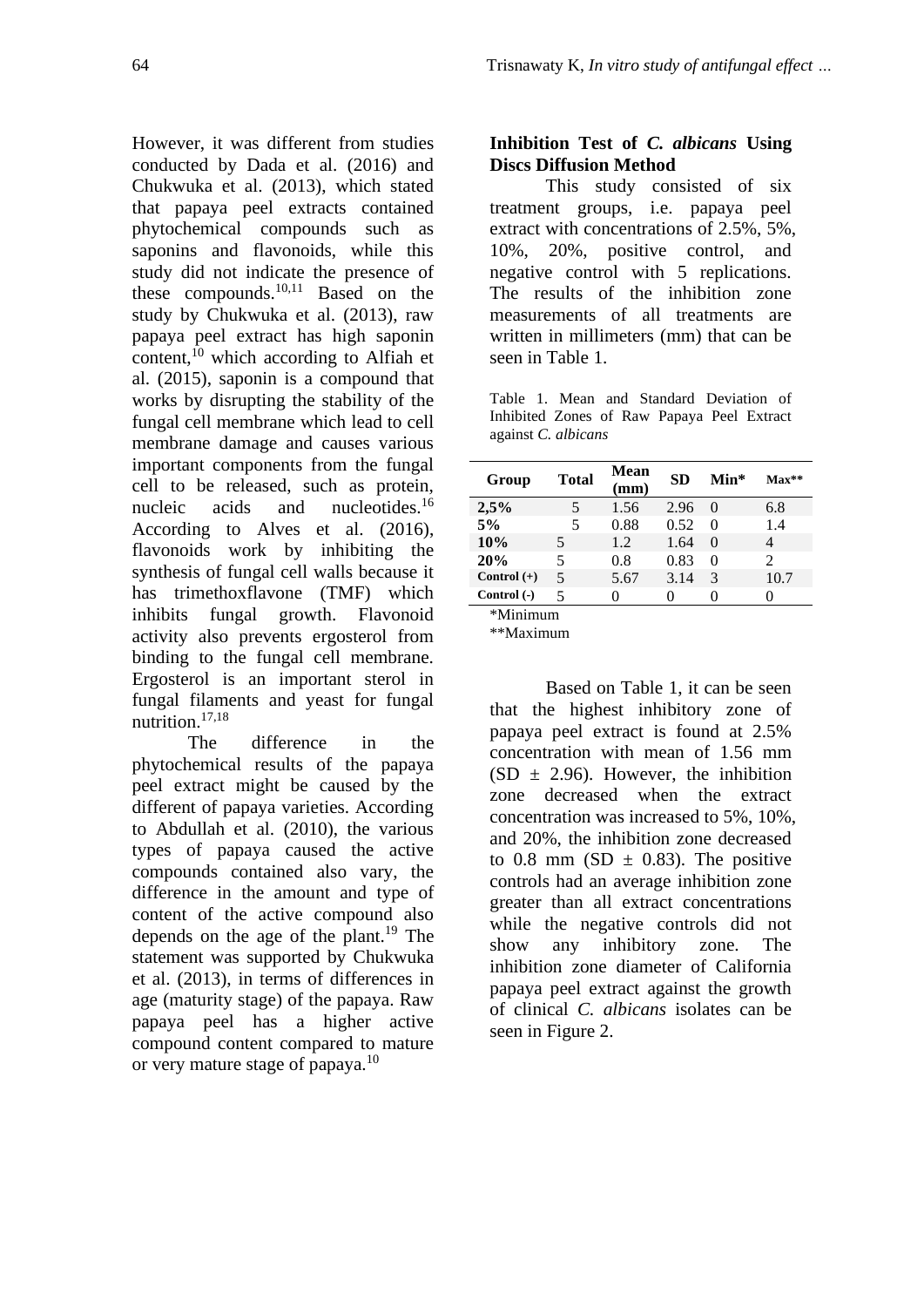However, it was different from studies conducted by Dada et al. (2016) and Chukwuka et al. (2013), which stated that papaya peel extracts contained phytochemical compounds such as saponins and flavonoids, while this study did not indicate the presence of these compounds.10,11 Based on the study by Chukwuka et al. (2013), raw papaya peel extract has high saponin content, $^{10}$  which according to Alfiah et al. (2015), saponin is a compound that works by disrupting the stability of the fungal cell membrane which lead to cell membrane damage and causes various important components from the fungal cell to be released, such as protein, nucleic acids and nucleotides.<sup>16</sup> According to Alves et al. (2016), flavonoids work by inhibiting the synthesis of fungal cell walls because it has trimethoxflavone (TMF) which inhibits fungal growth. Flavonoid activity also prevents ergosterol from binding to the fungal cell membrane. Ergosterol is an important sterol in fungal filaments and yeast for fungal nutrition.17,18

The difference in the phytochemical results of the papaya peel extract might be caused by the different of papaya varieties. According to Abdullah et al. (2010), the various types of papaya caused the active compounds contained also vary, the difference in the amount and type of content of the active compound also depends on the age of the plant.<sup>19</sup> The statement was supported by Chukwuka et al. (2013), in terms of differences in age (maturity stage) of the papaya. Raw papaya peel has a higher active compound content compared to mature or very mature stage of papaya.<sup>10</sup>

# **Inhibition Test of** *C. albicans* **Using Discs Diffusion Method**

This study consisted of six treatment groups, i.e. papaya peel extract with concentrations of 2.5%, 5%, 10%, 20%, positive control, and negative control with 5 replications. The results of the inhibition zone measurements of all treatments are written in millimeters (mm) that can be seen in Table 1.

Table 1. Mean and Standard Deviation of Inhibited Zones of Raw Papaya Peel Extract against *C. albicans*

| Group               | <b>Total</b> | Mean<br>(mm) | <b>SD</b> | Min*     | $Max**$                     |
|---------------------|--------------|--------------|-----------|----------|-----------------------------|
| 2,5%                | 5            | 1.56         | 2.96      | $\Omega$ | 6.8                         |
| 5%                  | 5            | 0.88         | 0.52      | $\theta$ | 1.4                         |
| 10%                 | 5            | 1.2.         | 1.64      | 0        | 4                           |
| 20%                 | 5            | 0.8          | 0.83      | $\theta$ | $\mathcal{D}_{\mathcal{L}}$ |
| Control $(+)$       | 5            | 5.67         | 3.14      | 3        | 10.7                        |
| Control (-)         | 5            |              |           |          |                             |
| $*$ M $\sim$ $\sim$ |              |              |           |          |                             |

\*Minimum

\*\*Maximum

Based on Table 1, it can be seen that the highest inhibitory zone of papaya peel extract is found at 2.5% concentration with mean of 1.56 mm  $(SD \pm 2.96)$ . However, the inhibition zone decreased when the extract concentration was increased to 5%, 10%, and 20%, the inhibition zone decreased to 0.8 mm (SD  $\pm$  0.83). The positive controls had an average inhibition zone greater than all extract concentrations while the negative controls did not show any inhibitory zone. The inhibition zone diameter of California papaya peel extract against the growth of clinical *C. albicans* isolates can be seen in Figure 2.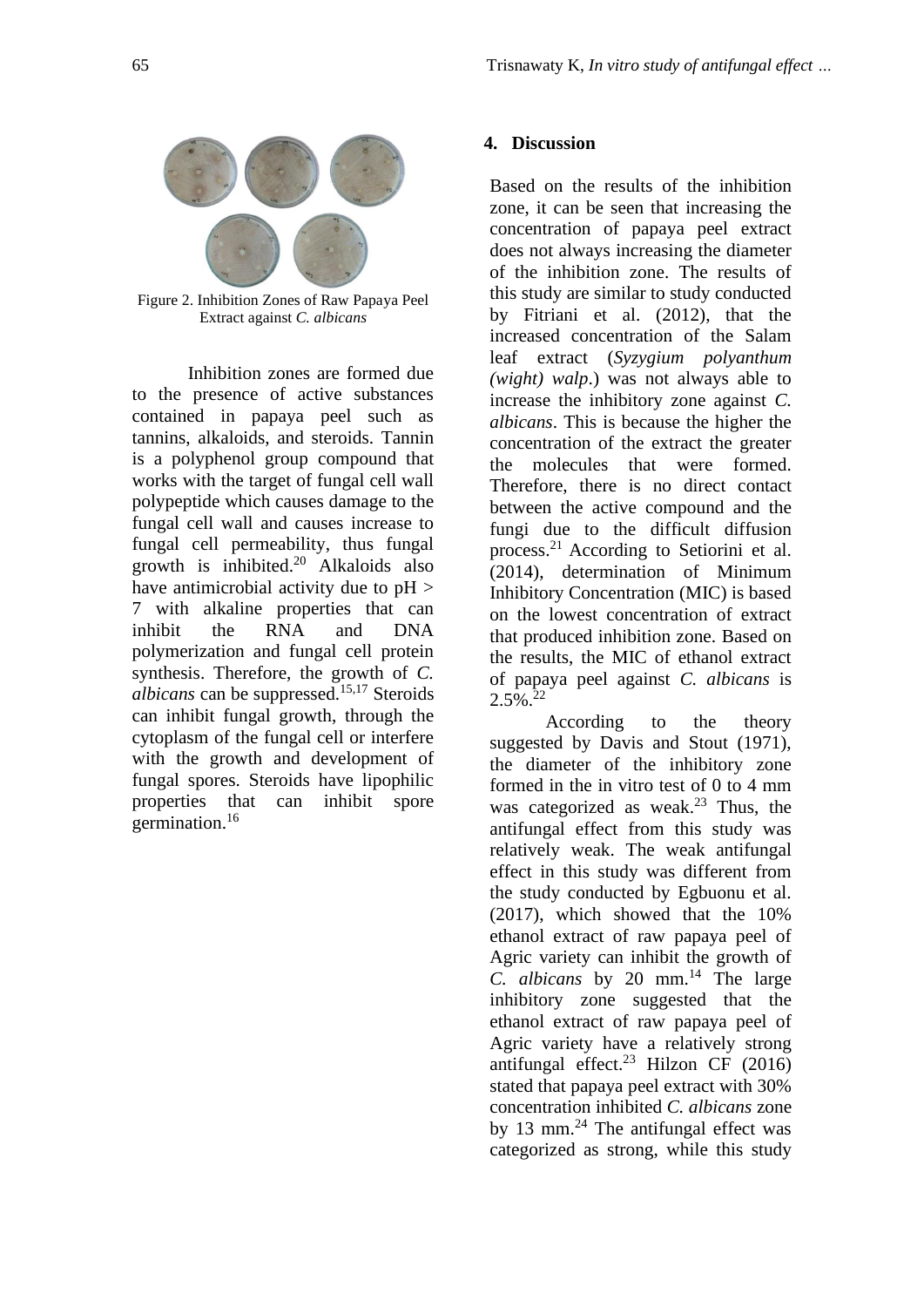

Figure 2. Inhibition Zones of Raw Papaya Peel Extract against *C. albicans*

Inhibition zones are formed due to the presence of active substances contained in papaya peel such as tannins, alkaloids, and steroids. Tannin is a polyphenol group compound that works with the target of fungal cell wall polypeptide which causes damage to the fungal cell wall and causes increase to fungal cell permeability, thus fungal growth is inhibited. $20$  Alkaloids also have antimicrobial activity due to  $pH$  > 7 with alkaline properties that can inhibit the RNA and DNA polymerization and fungal cell protein synthesis. Therefore, the growth of *C. albicans* can be suppressed.15,17 Steroids can inhibit fungal growth, through the cytoplasm of the fungal cell or interfere with the growth and development of fungal spores. Steroids have lipophilic properties that can inhibit spore germination.<sup>16</sup>

### **4. Discussion**

Based on the results of the inhibition zone, it can be seen that increasing the concentration of papaya peel extract does not always increasing the diameter of the inhibition zone. The results of this study are similar to study conducted by Fitriani et al. (2012), that the increased concentration of the Salam leaf extract (*Syzygium polyanthum (wight) walp*.) was not always able to increase the inhibitory zone against *C. albicans*. This is because the higher the concentration of the extract the greater the molecules that were formed. Therefore, there is no direct contact between the active compound and the fungi due to the difficult diffusion process.<sup>21</sup> According to Setiorini et al. (2014), determination of Minimum Inhibitory Concentration (MIC) is based on the lowest concentration of extract that produced inhibition zone. Based on the results, the MIC of ethanol extract of papaya peel against *C. albicans* is  $2.5\%$ <sup>22</sup>

According to the theory suggested by Davis and Stout (1971), the diameter of the inhibitory zone formed in the in vitro test of 0 to 4 mm was categorized as weak. $23$  Thus, the antifungal effect from this study was relatively weak. The weak antifungal effect in this study was different from the study conducted by Egbuonu et al. (2017), which showed that the 10% ethanol extract of raw papaya peel of Agric variety can inhibit the growth of *C. albicans* by 20 mm.<sup>14</sup> The large inhibitory zone suggested that the ethanol extract of raw papaya peel of Agric variety have a relatively strong antifungal effect.<sup>23</sup> Hilzon CF  $(2016)$ stated that papaya peel extract with 30% concentration inhibited *C. albicans* zone by 13 mm. $^{24}$  The antifungal effect was categorized as strong, while this study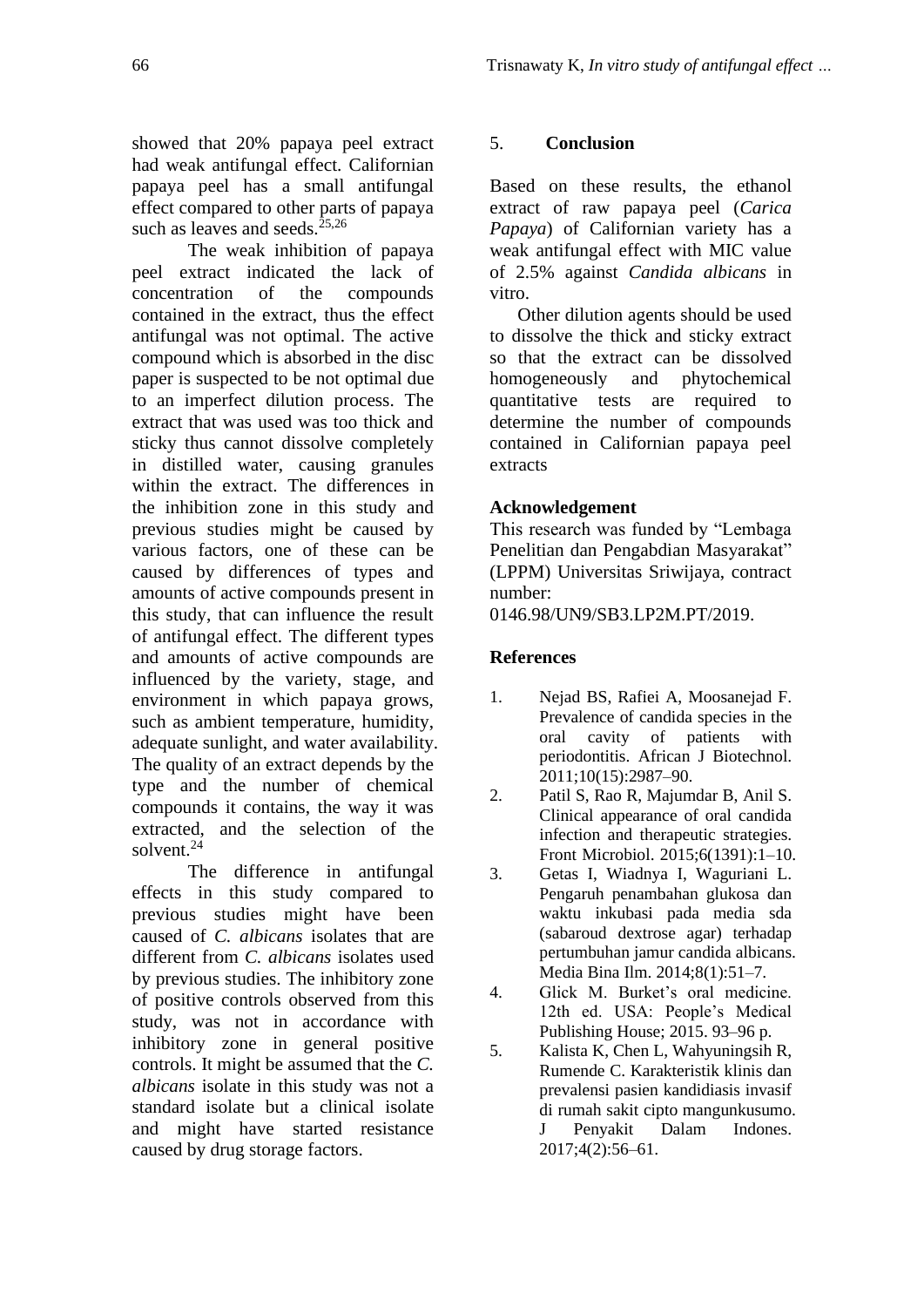showed that 20% papaya peel extract had weak antifungal effect. Californian papaya peel has a small antifungal effect compared to other parts of papaya such as leaves and seeds. $25,26$ 

The weak inhibition of papaya peel extract indicated the lack of concentration of the compounds contained in the extract, thus the effect antifungal was not optimal. The active compound which is absorbed in the disc paper is suspected to be not optimal due to an imperfect dilution process. The extract that was used was too thick and sticky thus cannot dissolve completely in distilled water, causing granules within the extract. The differences in the inhibition zone in this study and previous studies might be caused by various factors, one of these can be caused by differences of types and amounts of active compounds present in this study, that can influence the result of antifungal effect. The different types and amounts of active compounds are influenced by the variety, stage, and environment in which papaya grows, such as ambient temperature, humidity, adequate sunlight, and water availability. The quality of an extract depends by the type and the number of chemical compounds it contains, the way it was extracted, and the selection of the solvent.<sup>24</sup>

The difference in antifungal effects in this study compared to previous studies might have been caused of *C. albicans* isolates that are different from *C. albicans* isolates used by previous studies. The inhibitory zone of positive controls observed from this study, was not in accordance with inhibitory zone in general positive controls. It might be assumed that the *C. albicans* isolate in this study was not a standard isolate but a clinical isolate and might have started resistance caused by drug storage factors.

# 5. **Conclusion**

Based on these results, the ethanol extract of raw papaya peel (*Carica Papaya*) of Californian variety has a weak antifungal effect with MIC value of 2.5% against *Candida albicans* in vitro.

Other dilution agents should be used to dissolve the thick and sticky extract so that the extract can be dissolved homogeneously and phytochemical quantitative tests are required to determine the number of compounds contained in Californian papaya peel extracts

# **Acknowledgement**

This research was funded by "Lembaga Penelitian dan Pengabdian Masyarakat" (LPPM) Universitas Sriwijaya, contract number:

0146.98/UN9/SB3.LP2M.PT/2019.

## **References**

- 1. Nejad BS, Rafiei A, Moosanejad F. Prevalence of candida species in the oral cavity of patients with periodontitis. African J Biotechnol. 2011;10(15):2987–90.
- 2. Patil S, Rao R, Majumdar B, Anil S. Clinical appearance of oral candida infection and therapeutic strategies. Front Microbiol. 2015;6(1391):1–10.
- 3. Getas I, Wiadnya I, Waguriani L. Pengaruh penambahan glukosa dan waktu inkubasi pada media sda (sabaroud dextrose agar) terhadap pertumbuhan jamur candida albicans. Media Bina Ilm. 2014;8(1):51–7.
- 4. Glick M. Burket's oral medicine. 12th ed. USA: People's Medical Publishing House; 2015. 93–96 p.
- 5. Kalista K, Chen L, Wahyuningsih R, Rumende C. Karakteristik klinis dan prevalensi pasien kandidiasis invasif di rumah sakit cipto mangunkusumo. J Penyakit Dalam Indones. 2017;4(2):56–61.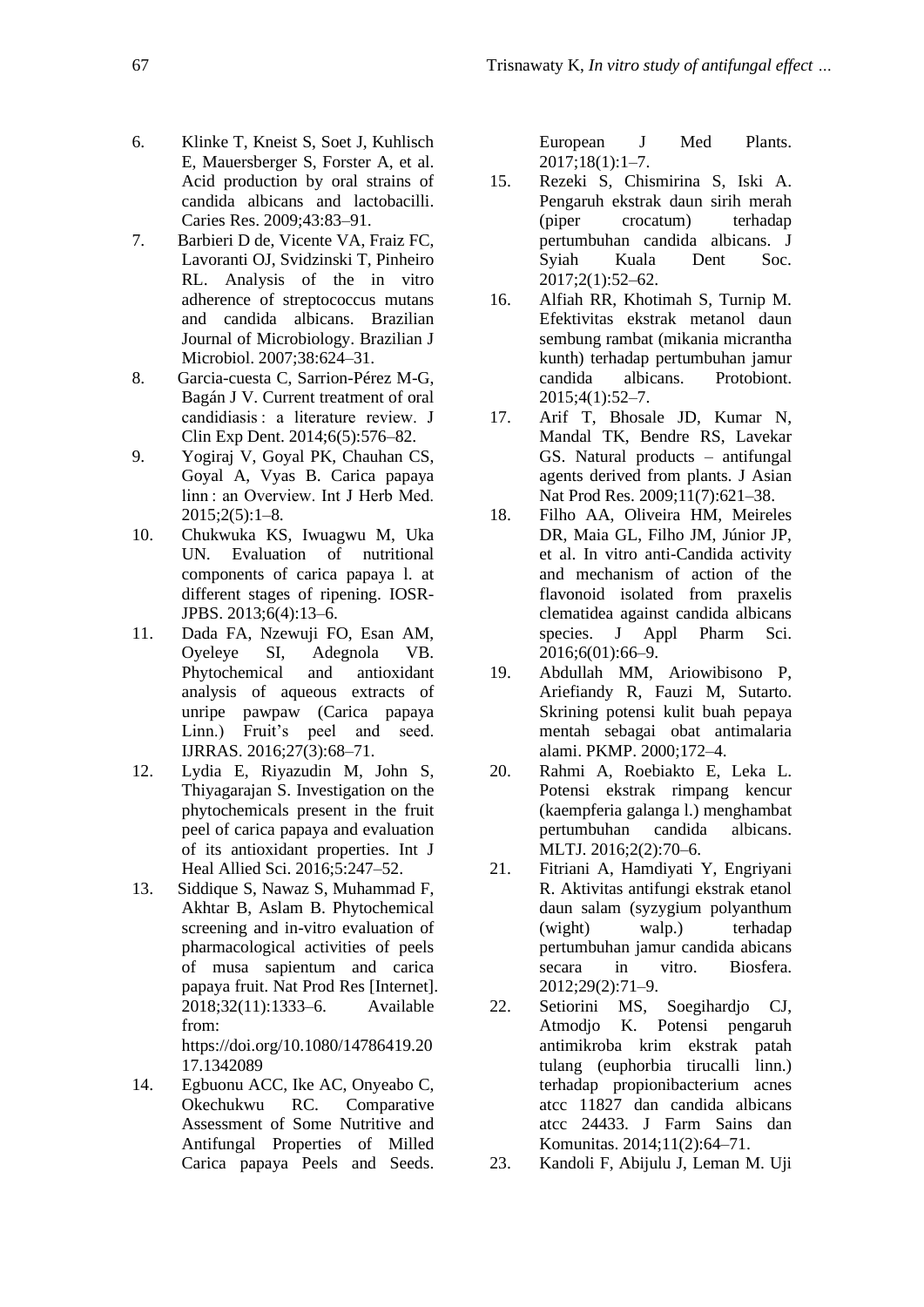- 6. Klinke T, Kneist S, Soet J, Kuhlisch E, Mauersberger S, Forster A, et al. Acid production by oral strains of candida albicans and lactobacilli. Caries Res. 2009;43:83–91.
- 7. Barbieri D de, Vicente VA, Fraiz FC, Lavoranti OJ, Svidzinski T, Pinheiro RL. Analysis of the in vitro adherence of streptococcus mutans and candida albicans. Brazilian Journal of Microbiology. Brazilian J Microbiol. 2007;38:624–31.
- 8. Garcia-cuesta C, Sarrion-Pérez M-G, Bagán J V. Current treatment of oral candidiasis : a literature review. J Clin Exp Dent. 2014;6(5):576–82.
- 9. Yogiraj V, Goyal PK, Chauhan CS, Goyal A, Vyas B. Carica papaya linn : an Overview. Int J Herb Med.  $2015;2(5):1-8.$
- 10. Chukwuka KS, Iwuagwu M, Uka UN. Evaluation of nutritional components of carica papaya l. at different stages of ripening. IOSR-JPBS. 2013;6(4):13–6.
- 11. Dada FA, Nzewuji FO, Esan AM, Oyeleye SI, Adegnola VB. Phytochemical and antioxidant analysis of aqueous extracts of unripe pawpaw (Carica papaya Linn.) Fruit's peel and seed. IJRRAS. 2016;27(3):68–71.
- 12. Lydia E, Riyazudin M, John S, Thiyagarajan S. Investigation on the phytochemicals present in the fruit peel of carica papaya and evaluation of its antioxidant properties. Int J Heal Allied Sci. 2016;5:247–52.
- 13. Siddique S, Nawaz S, Muhammad F, Akhtar B, Aslam B. Phytochemical screening and in-vitro evaluation of pharmacological activities of peels of musa sapientum and carica papaya fruit. Nat Prod Res [Internet]. 2018;32(11):1333–6. Available from: https://doi.org/10.1080/14786419.20 17.1342089
- 14. Egbuonu ACC, Ike AC, Onyeabo C, Okechukwu RC. Comparative Assessment of Some Nutritive and Antifungal Properties of Milled Carica papaya Peels and Seeds.

European J Med Plants. 2017;18(1):1–7.

- 15. Rezeki S, Chismirina S, Iski A. Pengaruh ekstrak daun sirih merah (piper crocatum) terhadap pertumbuhan candida albicans. J Syiah Kuala Dent Soc. 2017;2(1):52–62.
- 16. Alfiah RR, Khotimah S, Turnip M. Efektivitas ekstrak metanol daun sembung rambat (mikania micrantha kunth) terhadap pertumbuhan jamur candida albicans. Protobiont. 2015;4(1):52–7.
- 17. Arif T, Bhosale JD, Kumar N, Mandal TK, Bendre RS, Lavekar GS. Natural products – antifungal agents derived from plants. J Asian Nat Prod Res. 2009;11(7):621–38.
- 18. Filho AA, Oliveira HM, Meireles DR, Maia GL, Filho JM, Júnior JP, et al. In vitro anti-Candida activity and mechanism of action of the flavonoid isolated from praxelis clematidea against candida albicans species. J Appl Pharm Sci. 2016;6(01):66–9.
- 19. Abdullah MM, Ariowibisono P, Ariefiandy R, Fauzi M, Sutarto. Skrining potensi kulit buah pepaya mentah sebagai obat antimalaria alami. PKMP. 2000;172–4.
- 20. Rahmi A, Roebiakto E, Leka L. Potensi ekstrak rimpang kencur (kaempferia galanga l.) menghambat pertumbuhan candida albicans. MLTJ. 2016;2(2):70–6.
- 21. Fitriani A, Hamdiyati Y, Engriyani R. Aktivitas antifungi ekstrak etanol daun salam (syzygium polyanthum (wight) walp.) terhadap pertumbuhan jamur candida abicans secara in vitro. Biosfera. 2012;29(2):71–9.
- 22. Setiorini MS, Soegihardjo CJ, Atmodjo K. Potensi pengaruh antimikroba krim ekstrak patah tulang (euphorbia tirucalli linn.) terhadap propionibacterium acnes atcc 11827 dan candida albicans atcc 24433. J Farm Sains dan Komunitas. 2014;11(2):64–71.
- 23. Kandoli F, Abijulu J, Leman M. Uji